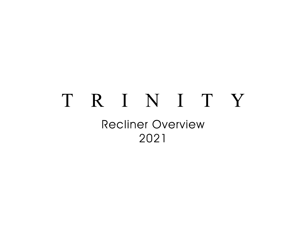# TRINITY **Recliner Overview** 2021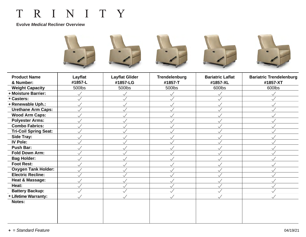### **Evolve** *Medical* **Recliner Overview**



| <b>Product Name</b><br>& Number: | Layflat<br>#1857-L | <b>Layflat Glider</b><br>#1857-LG | <b>Trendelenburg</b><br>#1857-T | <b>Bariatric Laflat</b><br>#1857-XL | <b>Bariatric Trendelenburg</b><br>#1857-XT |
|----------------------------------|--------------------|-----------------------------------|---------------------------------|-------------------------------------|--------------------------------------------|
| <b>Weight Capacity</b>           | 500lbs             | 500lbs                            | 500lbs                          | 600lbs                              | 600lbs                                     |
| ◆ Moisture Barrier:              | $\checkmark$       |                                   | $\checkmark$                    | $\checkmark$                        | $\checkmark$                               |
| <b>◇ Casters:</b>                | $\checkmark$       |                                   | $\checkmark$                    | $\checkmark$                        | $\checkmark$                               |
| ◆ Renewable Uph.:                | $\checkmark$       |                                   | $\checkmark$                    | $\checkmark$                        | $\checkmark$                               |
| <b>Urethane Arm Caps:</b>        |                    |                                   | $\checkmark$                    | $\checkmark$                        | $\checkmark$                               |
| <b>Wood Arm Caps:</b>            | $\checkmark$       | $\checkmark$                      | $\checkmark$                    | $\checkmark$                        | $\checkmark$                               |
| <b>Polyester Arms:</b>           | $\checkmark$       |                                   | $\checkmark$                    | $\checkmark$                        | $\checkmark$                               |
| <b>Combo Fabrics:</b>            | $\checkmark$       | $\checkmark$                      | $\checkmark$                    | $\checkmark$                        | $\checkmark$                               |
| <b>Tri-Coil Spring Seat:</b>     |                    |                                   |                                 | $\checkmark$                        |                                            |
| Side Tray:                       | $\checkmark$       | $\checkmark$                      | $\checkmark$                    | $\checkmark$                        | $\checkmark$                               |
| <b>IV Pole:</b>                  |                    |                                   | $\checkmark$                    | $\checkmark$                        | $\checkmark$                               |
| <b>Push Bar:</b>                 | $\checkmark$       | $\checkmark$                      | $\checkmark$                    | $\checkmark$                        | $\checkmark$                               |
| <b>Fold Down Arm:</b>            | $\checkmark$       |                                   | $\checkmark$                    | $\checkmark$                        | $\checkmark$                               |
| <b>Bag Holder:</b>               | $\checkmark$       |                                   | $\checkmark$                    | $\checkmark$                        | $\checkmark$                               |
| <b>Foot Rest:</b>                | $\checkmark$       | $\checkmark$                      | $\checkmark$                    | $\checkmark$                        | $\checkmark$                               |
| <b>Oxygen Tank Holder:</b>       | $\checkmark$       |                                   | $\checkmark$                    | $\checkmark$                        | $\checkmark$                               |
| <b>Electric Recline:</b>         |                    |                                   |                                 | ╰                                   |                                            |
| Heat & Massage:                  | $\checkmark$       | $\checkmark$                      | $\checkmark$                    | $\checkmark$                        | $\checkmark$                               |
| Heat:                            | $\checkmark$       | $\checkmark$                      | $\checkmark$                    | $\checkmark$                        | $\checkmark$                               |
| <b>Battery Backup:</b>           |                    | $\sqrt{}$                         | $\sqrt{}$                       | $\checkmark$                        | $\swarrow$                                 |
| <b>◇ Lifetime Warranty:</b>      | $\checkmark$       | $\checkmark$                      | $\checkmark$                    | $\checkmark$                        | $\checkmark$                               |
| Notes:                           |                    |                                   |                                 |                                     |                                            |
|                                  |                    |                                   |                                 |                                     |                                            |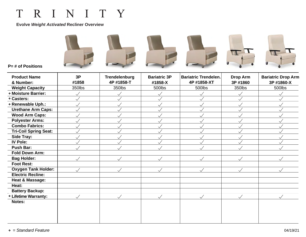### **Evolve** *Weight Activated* **Recliner Overview**



**P= # of Positions**

| <b>Product Name</b>            | 3P           | <b>Trendelenburg</b> | <b>Bariatric 3P</b> | <b>Bariatric Trendelen.</b> | <b>Drop Arm</b> | <b>Bariatric Drop Arm</b> |
|--------------------------------|--------------|----------------------|---------------------|-----------------------------|-----------------|---------------------------|
| & Number:                      | #1858        | 4P #1858-T           | #1858-X             | 4P #1858-XT                 | 3P #1860        | 3P #1860-X                |
| <b>Weight Capacity</b>         | 350lbs       | 350lbs               | 500lbs              | 500lbs                      | 350lbs          | 500lbs                    |
| <b>&amp; Moisture Barrier:</b> | $\checkmark$ | $\checkmark$         | $\checkmark$        |                             |                 |                           |
| <b>◇ Casters:</b>              |              | $\checkmark$         |                     |                             |                 |                           |
| ◆ Renewable Uph.:              | $\checkmark$ | $\checkmark$         | $\checkmark$        |                             | $\checkmark$    |                           |
| <b>Urethane Arm Caps:</b>      | $\checkmark$ |                      |                     |                             |                 |                           |
| <b>Wood Arm Caps:</b>          |              | $\checkmark$         |                     |                             |                 |                           |
| <b>Polyester Arms:</b>         |              | $\checkmark$         |                     |                             |                 |                           |
| <b>Combo Fabrics:</b>          |              | $\checkmark$         |                     |                             |                 |                           |
| <b>Tri-Coil Spring Seat:</b>   |              | $\checkmark$         |                     |                             |                 |                           |
| Side Tray:                     | $\checkmark$ | $\checkmark$         | $\checkmark$        |                             |                 |                           |
| <b>IV Pole:</b>                | $\sqrt{}$    |                      |                     |                             |                 |                           |
| <b>Push Bar:</b>               | $\checkmark$ | $\checkmark$         |                     |                             |                 |                           |
| <b>Fold Down Arm:</b>          |              |                      |                     |                             |                 |                           |
| <b>Bag Holder:</b>             |              | $\prec$              |                     |                             | $\checkmark$    |                           |
| <b>Foot Rest:</b>              |              |                      |                     |                             |                 |                           |
| <b>Oxygen Tank Holder:</b>     | $\sqrt{}$    | $\sqrt{}$            | $\sqrt{}$           | $\sqrt{}$                   | $\checkmark$    | $\sqrt{}$                 |
| <b>Electric Recline:</b>       |              |                      |                     |                             |                 |                           |
| <b>Heat &amp; Massage:</b>     |              |                      |                     |                             |                 |                           |
| Heat:                          |              |                      |                     |                             |                 |                           |
| <b>Battery Backup:</b>         |              |                      |                     |                             |                 |                           |
| <b>Eifetime Warranty:</b>      | $\checkmark$ | $\sqrt{}$            | $\sqrt{}$           | $\checkmark$                | $\sqrt{}$       | $\checkmark$              |
| Notes:                         |              |                      |                     |                             |                 |                           |
|                                |              |                      |                     |                             |                 |                           |
|                                |              |                      |                     |                             |                 |                           |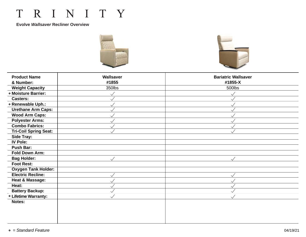#### **Evolve** *Wallsaver* **Recliner Overview**





| & Number:<br>#1855<br>#1855-X<br><b>Weight Capacity</b><br>350lbs<br>500lbs<br><b>&amp; Moisture Barrier:</b><br>$\checkmark$<br>$\checkmark$<br><b>Casters:</b><br>◆ Renewable Uph.:<br>$\checkmark$<br>$\checkmark$<br><b>Urethane Arm Caps:</b><br>$\checkmark$<br>$\checkmark$ |  |
|------------------------------------------------------------------------------------------------------------------------------------------------------------------------------------------------------------------------------------------------------------------------------------|--|
|                                                                                                                                                                                                                                                                                    |  |
|                                                                                                                                                                                                                                                                                    |  |
|                                                                                                                                                                                                                                                                                    |  |
|                                                                                                                                                                                                                                                                                    |  |
|                                                                                                                                                                                                                                                                                    |  |
|                                                                                                                                                                                                                                                                                    |  |
| <b>Wood Arm Caps:</b><br>$\checkmark$<br>$\checkmark$                                                                                                                                                                                                                              |  |
| <b>Polyester Arms:</b><br>$\checkmark$<br>$\checkmark$                                                                                                                                                                                                                             |  |
| <b>Combo Fabrics:</b><br>$\checkmark$<br>$\checkmark$                                                                                                                                                                                                                              |  |
| <b>Tri-Coil Spring Seat:</b><br>$\checkmark$                                                                                                                                                                                                                                       |  |
| <b>Side Tray:</b>                                                                                                                                                                                                                                                                  |  |
| <b>IV Pole:</b>                                                                                                                                                                                                                                                                    |  |
| <b>Push Bar:</b>                                                                                                                                                                                                                                                                   |  |
| <b>Fold Down Arm:</b>                                                                                                                                                                                                                                                              |  |
| <b>Bag Holder:</b><br>$\prec$<br>$\sqrt{}$                                                                                                                                                                                                                                         |  |
| <b>Foot Rest:</b>                                                                                                                                                                                                                                                                  |  |
| <b>Oxygen Tank Holder:</b>                                                                                                                                                                                                                                                         |  |
| <b>Electric Recline:</b><br>$\checkmark$                                                                                                                                                                                                                                           |  |
| <b>Heat &amp; Massage:</b><br>$\checkmark$<br>$\checkmark$                                                                                                                                                                                                                         |  |
| Heat:<br>$\checkmark$<br>$\checkmark$                                                                                                                                                                                                                                              |  |
| <b>Battery Backup:</b><br>$\checkmark$<br>$\checkmark$                                                                                                                                                                                                                             |  |
| <b>Elifetime Warranty:</b><br>$\checkmark$<br>$\checkmark$                                                                                                                                                                                                                         |  |
| Notes:                                                                                                                                                                                                                                                                             |  |
|                                                                                                                                                                                                                                                                                    |  |
|                                                                                                                                                                                                                                                                                    |  |
|                                                                                                                                                                                                                                                                                    |  |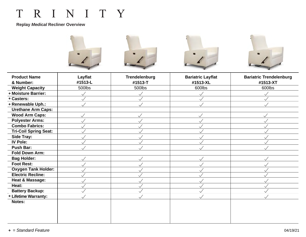### **Replay** *Medical* **Recliner Overview**



| <b>Product Name</b><br>& Number: | Layflat<br>#1513-L | <b>Trendelenburg</b><br>#1513-T | <b>Bariatric Layflat</b><br>#1513-XL | <b>Bariatric Trendelenburg</b><br>#1513-XT |
|----------------------------------|--------------------|---------------------------------|--------------------------------------|--------------------------------------------|
|                                  |                    |                                 |                                      |                                            |
| <b>Weight Capacity</b>           | 500lbs             | 500lbs                          | 600lbs                               | 600lbs                                     |
| <b>&amp; Moisture Barrier:</b>   | $\checkmark$       |                                 |                                      | $\checkmark$                               |
| <b>◇ Casters:</b>                |                    |                                 |                                      | $\checkmark$                               |
| ◆ Renewable Uph.:                |                    | $\checkmark$                    |                                      | $\checkmark$                               |
| <b>Urethane Arm Caps:</b>        |                    |                                 |                                      |                                            |
| <b>Wood Arm Caps:</b>            | $\checkmark$       |                                 | $\checkmark$                         | $\checkmark$                               |
| <b>Polyester Arms:</b>           |                    |                                 |                                      | $\checkmark$                               |
| <b>Combo Fabrics:</b>            |                    |                                 |                                      | $\checkmark$                               |
| <b>Tri-Coil Spring Seat:</b>     |                    |                                 |                                      | $\checkmark$                               |
| Side Tray:                       |                    |                                 |                                      | $\checkmark$                               |
| <b>IV Pole:</b>                  |                    |                                 |                                      | $\checkmark$                               |
| <b>Push Bar:</b>                 |                    |                                 |                                      |                                            |
| <b>Fold Down Arm:</b>            |                    |                                 |                                      |                                            |
| <b>Bag Holder:</b>               |                    |                                 |                                      | $\checkmark$                               |
| <b>Foot Rest:</b>                |                    |                                 |                                      | $\checkmark$                               |
| <b>Oxygen Tank Holder:</b>       |                    |                                 |                                      | $\checkmark$                               |
| <b>Electric Recline:</b>         |                    |                                 |                                      |                                            |
| <b>Heat &amp; Massage:</b>       |                    |                                 |                                      | $\checkmark$                               |
| Heat:                            |                    |                                 |                                      | $\checkmark$                               |
| <b>Battery Backup:</b>           |                    | $\overline{\sqrt{ }}$           |                                      | $\checkmark$                               |
| <b>Eifetime Warranty:</b>        |                    | $\checkmark$                    |                                      | $\swarrow$                                 |
| Notes:                           |                    |                                 |                                      |                                            |
|                                  |                    |                                 |                                      |                                            |
|                                  |                    |                                 |                                      |                                            |
|                                  |                    |                                 |                                      |                                            |
|                                  |                    |                                 |                                      |                                            |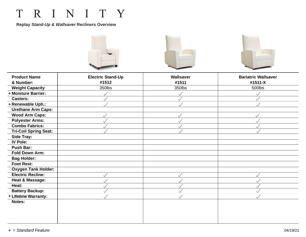**Replay** *Stand-Up & Wallsaver* **Recliners Overview**



| <b>Product Name</b>            | <b>Electric Stand-Up</b> | <b>Wallsaver</b> | <b>Bariatric Wallsaver</b> |
|--------------------------------|--------------------------|------------------|----------------------------|
| & Number:                      | #1512                    | #1511            | #1511-X                    |
| <b>Weight Capacity</b>         | 350lbs                   | 350lbs           | 500lbs                     |
| <b>&amp; Moisture Barrier:</b> | $\checkmark$             | $\checkmark$     | $\checkmark$               |
| <b>Casters:</b>                | $\checkmark$             | $\checkmark$     | $\checkmark$               |
| ◆ Renewable Uph.:              |                          | $\checkmark$     | $\checkmark$               |
| <b>Urethane Arm Caps:</b>      |                          |                  |                            |
| <b>Wood Arm Caps:</b>          | $\checkmark$             | $\checkmark$     | $\checkmark$               |
| <b>Polyester Arms:</b>         |                          | $\checkmark$     | $\checkmark$               |
| <b>Combo Fabrics:</b>          | $\checkmark$             | $\checkmark$     | $\checkmark$               |
| <b>Tri-Coil Spring Seat:</b>   |                          | $\checkmark$     | $\checkmark$               |
| Side Tray:                     |                          |                  |                            |
| <b>IV Pole:</b>                |                          |                  |                            |
| <b>Push Bar:</b>               |                          |                  |                            |
| <b>Fold Down Arm:</b>          |                          |                  |                            |
| <b>Bag Holder:</b>             |                          |                  |                            |
| <b>Foot Rest:</b>              |                          |                  |                            |
| <b>Oxygen Tank Holder:</b>     |                          |                  |                            |
| <b>Electric Recline:</b>       |                          | $\checkmark$     | $\checkmark$               |
| <b>Heat &amp; Massage:</b>     | $\checkmark$             | $\checkmark$     | $\checkmark$               |
| Heat:                          |                          | $\checkmark$     | $\checkmark$               |
| <b>Battery Backup:</b>         |                          | $\checkmark$     | $\ddot{\phantom{1}}$       |
| <b>Eifetime Warranty:</b>      |                          | $\checkmark$     | $\checkmark$               |
| Notes:                         |                          |                  |                            |
|                                |                          |                  |                            |
|                                |                          |                  |                            |
|                                |                          |                  |                            |
|                                |                          |                  |                            |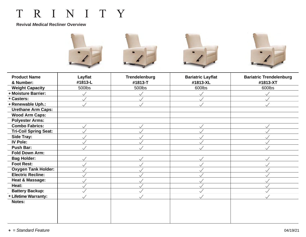#### **Revival** *Medical* **Recliner Overview**



| <b>Product Name</b>            | Layflat      | <b>Trendelenburg</b>  | <b>Bariatric Layflat</b> | <b>Bariatric Trendelenburg</b> |
|--------------------------------|--------------|-----------------------|--------------------------|--------------------------------|
| & Number:                      | #1813-L      | #1813-T               | #1813-XL                 | #1813-XT                       |
| <b>Weight Capacity</b>         | 500lbs       | 500lbs                | 600lbs                   | 600lbs                         |
| <b>&amp; Moisture Barrier:</b> |              | $\checkmark$          |                          | $\checkmark$                   |
| <b>◇ Casters:</b>              |              | $\checkmark$          |                          | $\checkmark$                   |
| ◆ Renewable Uph.:              |              | $\sqrt{}$             |                          | $\ddotsc$                      |
| <b>Urethane Arm Caps:</b>      |              |                       |                          |                                |
| <b>Wood Arm Caps:</b>          |              |                       |                          |                                |
| <b>Polyester Arms:</b>         |              |                       |                          |                                |
| <b>Combo Fabrics:</b>          | $\checkmark$ | $\checkmark$          |                          | $\checkmark$                   |
| <b>Tri-Coil Spring Seat:</b>   |              | $\checkmark$          |                          | $\checkmark$                   |
| Side Tray:                     |              | $\checkmark$          |                          | $\checkmark$                   |
| <b>IV Pole:</b>                |              | $\checkmark$          |                          | $\checkmark$                   |
| Push Bar:                      |              |                       |                          |                                |
| <b>Fold Down Arm:</b>          |              |                       |                          |                                |
| <b>Bag Holder:</b>             |              | $\checkmark$          |                          | $\checkmark$                   |
| <b>Foot Rest:</b>              |              | $\checkmark$          |                          | $\checkmark$                   |
| <b>Oxygen Tank Holder:</b>     |              | $\checkmark$          |                          | $\checkmark$                   |
| <b>Electric Recline:</b>       |              |                       |                          | $\ddot{\phantom{1}}$           |
| Heat & Massage:                |              | $\checkmark$          |                          | $\checkmark$                   |
| Heat:                          |              | $\checkmark$          |                          | $\checkmark$                   |
| <b>Battery Backup:</b>         |              | $\overline{\sqrt{ }}$ |                          | $\checkmark$                   |
| <b>Eifetime Warranty:</b>      |              | $\checkmark$          | $\checkmark$             | $\checkmark$                   |
| Notes:                         |              |                       |                          |                                |
|                                |              |                       |                          |                                |
|                                |              |                       |                          |                                |
|                                |              |                       |                          |                                |
|                                |              |                       |                          |                                |